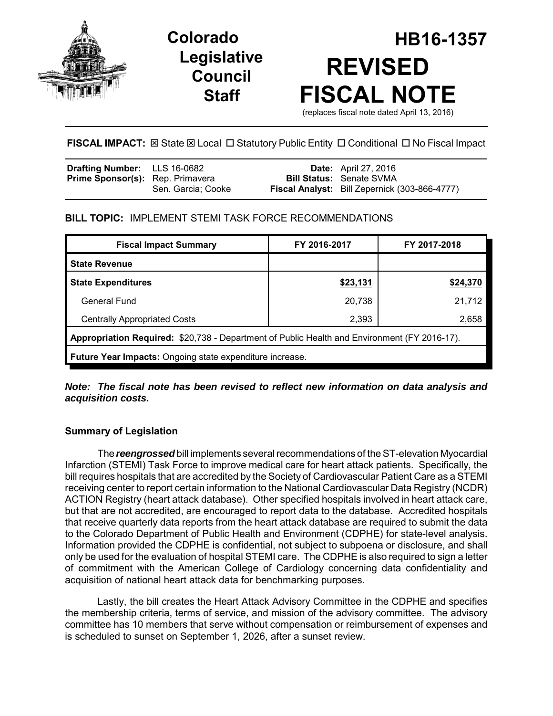



# **Colorado HB16-1357 REVISED FISCAL NOTE**

(replaces fiscal note dated April 13, 2016)

# **FISCAL IMPACT:** ⊠ State ⊠ Local □ Statutory Public Entity □ Conditional □ No Fiscal Impact

| <b>Drafting Number:</b> LLS 16-0682     |                    | <b>Date:</b> April 27, 2016                          |
|-----------------------------------------|--------------------|------------------------------------------------------|
| <b>Prime Sponsor(s):</b> Rep. Primavera |                    | <b>Bill Status: Senate SVMA</b>                      |
|                                         | Sen. Garcia: Cooke | <b>Fiscal Analyst:</b> Bill Zepernick (303-866-4777) |

## **BILL TOPIC:** IMPLEMENT STEMI TASK FORCE RECOMMENDATIONS

| <b>Fiscal Impact Summary</b>                                                                 | FY 2016-2017 | FY 2017-2018 |  |  |  |
|----------------------------------------------------------------------------------------------|--------------|--------------|--|--|--|
| <b>State Revenue</b>                                                                         |              |              |  |  |  |
| <b>State Expenditures</b>                                                                    | \$23,131     | \$24,370     |  |  |  |
| General Fund                                                                                 | 20,738       | 21,712       |  |  |  |
| <b>Centrally Appropriated Costs</b>                                                          | 2,393        | 2,658        |  |  |  |
| Appropriation Required: \$20,738 - Department of Public Health and Environment (FY 2016-17). |              |              |  |  |  |
| <b>Future Year Impacts:</b> Ongoing state expenditure increase.                              |              |              |  |  |  |

## *Note: The fiscal note has been revised to reflect new information on data analysis and acquisition costs.*

# **Summary of Legislation**

The *reengrossed* bill implements several recommendations of the ST-elevation Myocardial Infarction (STEMI) Task Force to improve medical care for heart attack patients. Specifically, the bill requires hospitals that are accredited by the Society of Cardiovascular Patient Care as a STEMI receiving center to report certain information to the National Cardiovascular Data Registry (NCDR) ACTION Registry (heart attack database). Other specified hospitals involved in heart attack care, but that are not accredited, are encouraged to report data to the database. Accredited hospitals that receive quarterly data reports from the heart attack database are required to submit the data to the Colorado Department of Public Health and Environment (CDPHE) for state-level analysis. Information provided the CDPHE is confidential, not subject to subpoena or disclosure, and shall only be used for the evaluation of hospital STEMI care. The CDPHE is also required to sign a letter of commitment with the American College of Cardiology concerning data confidentiality and acquisition of national heart attack data for benchmarking purposes.

Lastly, the bill creates the Heart Attack Advisory Committee in the CDPHE and specifies the membership criteria, terms of service, and mission of the advisory committee. The advisory committee has 10 members that serve without compensation or reimbursement of expenses and is scheduled to sunset on September 1, 2026, after a sunset review.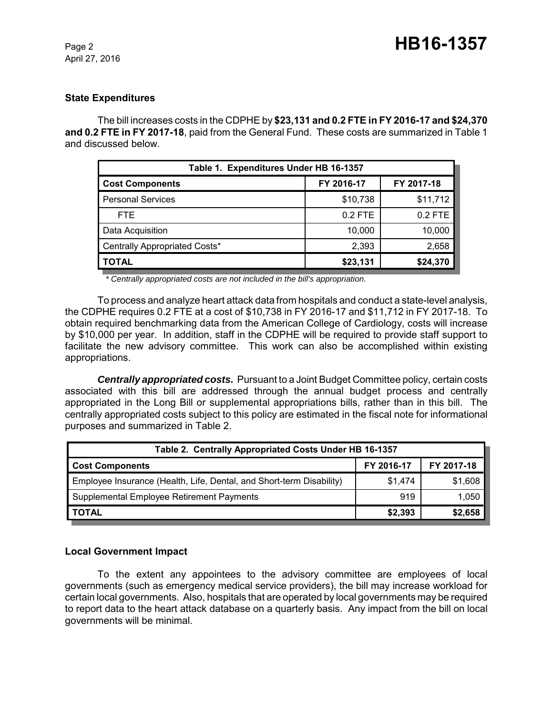April 27, 2016

#### **State Expenditures**

The bill increases costs in the CDPHE by **\$23,131 and 0.2 FTE in FY 2016-17 and \$24,370 and 0.2 FTE in FY 2017-18**, paid from the General Fund. These costs are summarized in Table 1 and discussed below.

| Table 1. Expenditures Under HB 16-1357 |            |            |  |  |  |
|----------------------------------------|------------|------------|--|--|--|
| <b>Cost Components</b>                 | FY 2016-17 | FY 2017-18 |  |  |  |
| <b>Personal Services</b>               | \$10,738   | \$11,712   |  |  |  |
| FTE.                                   | $0.2$ FTE  | 0.2 FTE    |  |  |  |
| Data Acquisition                       | 10,000     | 10,000     |  |  |  |
| Centrally Appropriated Costs*          | 2,393      | 2,658      |  |  |  |
| TOTAL                                  | \$23,131   | \$24,370   |  |  |  |

*\* Centrally appropriated costs are not included in the bill's appropriation.*

To process and analyze heart attack data from hospitals and conduct a state-level analysis, the CDPHE requires 0.2 FTE at a cost of \$10,738 in FY 2016-17 and \$11,712 in FY 2017-18. To obtain required benchmarking data from the American College of Cardiology, costs will increase by \$10,000 per year. In addition, staff in the CDPHE will be required to provide staff support to facilitate the new advisory committee. This work can also be accomplished within existing appropriations.

*Centrally appropriated costs.* Pursuant to a Joint Budget Committee policy, certain costs associated with this bill are addressed through the annual budget process and centrally appropriated in the Long Bill or supplemental appropriations bills, rather than in this bill. The centrally appropriated costs subject to this policy are estimated in the fiscal note for informational purposes and summarized in Table 2.

| Table 2. Centrally Appropriated Costs Under HB 16-1357               |            |            |  |  |  |
|----------------------------------------------------------------------|------------|------------|--|--|--|
| <b>Cost Components</b>                                               | FY 2016-17 | FY 2017-18 |  |  |  |
| Employee Insurance (Health, Life, Dental, and Short-term Disability) | \$1,474    | \$1,608    |  |  |  |
| Supplemental Employee Retirement Payments                            | 919        | 1,050      |  |  |  |
| <b>TOTAL</b>                                                         | \$2,393    | \$2,658    |  |  |  |

## **Local Government Impact**

To the extent any appointees to the advisory committee are employees of local governments (such as emergency medical service providers), the bill may increase workload for certain local governments. Also, hospitals that are operated by local governments may be required to report data to the heart attack database on a quarterly basis. Any impact from the bill on local governments will be minimal.